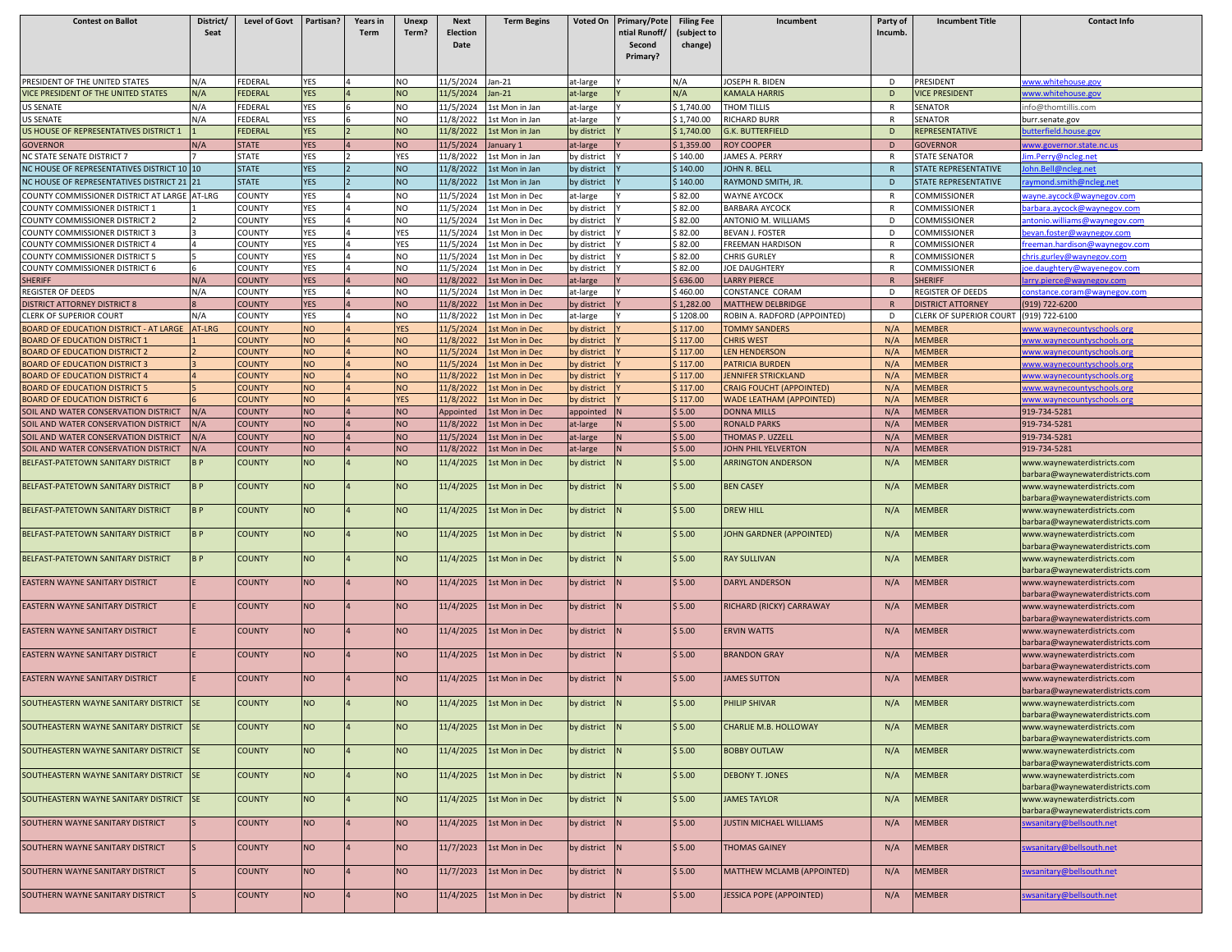| <b>Contest on Ballot</b>                                                     | District/<br>Seat | Level of Govt                  | Partisan?              | Years in<br>Term | Unexp<br>Term?         | <b>Next</b><br><b>Election</b> | <b>Term Begins</b>                      | Voted On                   | <b>Primary/Pote</b><br>ntial Runoff/ | <b>Filing Fee</b><br>(subject to | Incumbent                                     | Party of<br>Incumb. | <b>Incumbent Title</b>           | <b>Contact Info</b>                                            |
|------------------------------------------------------------------------------|-------------------|--------------------------------|------------------------|------------------|------------------------|--------------------------------|-----------------------------------------|----------------------------|--------------------------------------|----------------------------------|-----------------------------------------------|---------------------|----------------------------------|----------------------------------------------------------------|
|                                                                              |                   |                                |                        |                  |                        | Date                           |                                         |                            | Second                               | change)                          |                                               |                     |                                  |                                                                |
|                                                                              |                   |                                |                        |                  |                        |                                |                                         |                            | Primary?                             |                                  |                                               |                     |                                  |                                                                |
| PRESIDENT OF THE UNITED STATES                                               | N/A               | FEDERAL                        | YES                    |                  | NO                     | 11/5/2024                      | an-21                                   | at-large                   |                                      | N/A                              | <b>OSEPH R. BIDEN</b>                         | D                   | PRESIDENT                        | vww.whitehouse.gov                                             |
| <b>ICE PRESIDENT OF THE UNITED STATES</b>                                    | N/A               | FEDERAL                        | <b>YES</b>             |                  | <b>NO</b>              | 11/5/2024                      | $an-21$                                 | at-large                   |                                      | N/A                              | <b>KAMALA HARRIS</b>                          | D                   | <b>VICE PRESIDENT</b>            | <u>vww.whitehouse.gov</u>                                      |
| <b>IS SENATE</b>                                                             | N/A               | FEDERAL                        | YES                    |                  | NO                     | 11/5/2024                      | Lst Mon in Jan                          | at-large                   |                                      | \$1,740.00                       | <b>THOM TILLIS</b>                            | $\mathsf{R}$        | SENATOR                          | nfo@thomtillis.com                                             |
| <b>JS SENATE</b><br>IS HOUSE OF REPRESENTATIVES DISTRICT 1                   | N/A               | FEDERAL<br>FEDERAL             | YES<br><b>YES</b>      |                  | NO<br><b>NO</b>        | 11/8/2022<br>11/8/2022         | Lst Mon in Jan<br><b>1st Mon in Jan</b> | at-large<br>by district    |                                      | \$1,740.00<br>\$1,740.00         | <b>ICHARD BURR</b><br><b>G.K. BUTTERFIELD</b> | R<br>D              | <b>SENATOR</b><br>REPRESENTATIVE | burr.senate.gov                                                |
| <b>GOVERNOR</b>                                                              | N/A               | <b>STATE</b>                   | <b>YES</b>             |                  | <b>NO</b>              | 11/5/2024                      | anuary 1                                | at-large                   |                                      | \$1,359.00                       | <b>ROY COOPER</b>                             | D                   | <b>GOVERNOR</b>                  | utterfield.house.gov<br>ww.governor.state.nc.us                |
| <b>VC STATE SENATE DISTRICT 7</b>                                            |                   | <b>STATE</b>                   | <b>YES</b>             |                  | YES                    | 11/8/2022                      | Lst Mon in Jan                          | by district                |                                      | \$140.00                         | <b>AMES A. PERRY</b>                          | $\mathsf{R}$        | <b>STATE SENATOR</b>             | im.Perry@ncleg.net                                             |
| NC HOUSE OF REPRESENTATIVES DISTRICT 10 10                                   |                   | <b>STATE</b>                   | <b>YES</b>             |                  | NO                     | 11/8/2022                      | <b>1st Mon in Jan</b>                   | by district                |                                      | \$140.00                         | JOHN R. BELL                                  | $\mathsf{R}$        | STATE REPRESENTATIVE             | ohn.Bell@ncleg.net                                             |
| IC HOUSE OF REPRESENTATIVES DISTRICT 21 21                                   |                   | <b>STATE</b>                   | <b>YES</b>             |                  | <b>NO</b>              | 11/8/2022                      | Lst Mon in Jan                          | by district                |                                      | \$140.00                         | RAYMOND SMITH, JR.                            | D                   | <b>STATE REPRESENTATIVE</b>      | aymond.smith@ncleg.net                                         |
| OUNTY COMMISSIONER DISTRICT AT LARGE                                         | AT-LRG            | COUNTY                         | <b>YES</b>             |                  | NO                     | 11/5/2024                      | 1st Mon in Dec                          | at-large                   |                                      | \$82.00                          | <b>WAYNE AYCOCK</b>                           | $\mathsf{R}$        | COMMISSIONER                     | ayne.aycock@waynegov.com                                       |
| COUNTY COMMISSIONER DISTRICT 1<br>OUNTY COMMISSIONER DISTRICT 2              |                   | COUNTY<br>COUNTY               | <b>YES</b><br>YES      |                  | <b>NO</b><br>NO.       | 11/5/2024<br>11/5/2024         | 1st Mon in Dec<br>Lst Mon in Dec        | by district<br>by district |                                      | \$82.00<br>\$82.00               | <b>BARBARA AYCOCK</b><br>ANTONIO M. WILLIAMS  | R<br>D              | COMMISSIONER<br>COMMISSIONER     | parbara.aycock@waynegov.com                                    |
| OUNTY COMMISSIONER DISTRICT 3                                                |                   | COUNTY                         | YES                    |                  | YES                    | 11/5/2024                      | <b>1st Mon in Dec</b>                   | by district                |                                      | \$82.00                          | <b>BEVAN J. FOSTER</b>                        | D                   | COMMISSIONER                     | ntonio.williams@waynegov.com<br>evan.foster@waynegov.com       |
| COUNTY COMMISSIONER DISTRICT 4                                               |                   | COUNTY                         | <b>YES</b>             |                  | <b>YES</b>             | 11/5/2024                      | Lst Mon in Dec                          | by district                |                                      | \$82.00                          | REEMAN HARDISON                               | R                   | COMMISSIONER                     | reeman.hardison@waynegov.com                                   |
| OUNTY COMMISSIONER DISTRICT 5                                                |                   | COUNTY                         | YES                    |                  | <b>NO</b>              | 11/5/2024                      | Lst Mon in Dec                          | by district                |                                      | \$82.00                          | <b>HRIS GURLEY</b>                            | R                   | COMMISSIONER                     | hris.gurley@waynegov.com                                       |
| COUNTY COMMISSIONER DISTRICT 6                                               |                   | COUNTY                         | <b>YES</b>             |                  | <b>NO</b>              | 11/5/2024                      | <b>Lst Mon in Dec</b>                   | by district                |                                      | \$ 82.00                         | <b>IOE DAUGHTERY</b>                          | R                   | COMMISSIONER                     | oe.daughtery@wayenegov.com                                     |
| <b>HERIFF</b><br>REGISTER OF DEEDS                                           | N/A<br>N/A        | <b>COUNTY</b><br>COUNTY        | <b>YES</b><br>YES      |                  | <b>NO</b><br><b>NO</b> | 11/8/2022<br>11/5/2024         | <b>Lst Mon in Dec</b><br>Lst Mon in Dec | at-large<br>at-large       |                                      | \$636.00<br>\$460.00             | <b>LARRY PIERCE</b><br>CONSTANCE CORAM        | $\mathsf{R}$<br>D   | SHERIFF<br>REGISTER OF DEEDS     | arry.pierce@waynegov.com<br>constance.coram@waynegov.com       |
| <b>ISTRICT ATTORNEY DISTRICT 8</b>                                           |                   | <b>COUNTY</b>                  | <b>YES</b>             |                  | <b>NO</b>              | 11/8/2022                      | st Mon in Dec                           | by district                |                                      | \$1,282.00                       | MATTHEW DELBRIDGE                             | $\mathsf{R}$        | DISTRICT ATTORNEY                | 919) 722-6200                                                  |
| CLERK OF SUPERIOR COURT                                                      | N/A               | COUNTY                         | YES                    |                  | <b>NO</b>              | 11/8/2022                      | 1st Mon in Dec                          | at-large                   |                                      | \$1208.00                        | ROBIN A. RADFORD (APPOINTED)                  | D                   | CLERK OF SUPERIOR COURT          | (919) 722-6100                                                 |
| OARD OF EDUCATION DISTRICT - AT LARGE AT-LRG                                 |                   | <b>COUNTY</b>                  | <b>NO</b>              |                  | <b>YES</b>             | 11/5/2024                      | st Mon in Dec                           | by district                |                                      | \$117.00                         | <b>TOMMY SANDERS</b>                          | N/A                 | <b>MEMBER</b>                    | vww.waynecountyschools.org                                     |
| OARD OF EDUCATION DISTRICT 1                                                 |                   | COUNTY                         | <b>NO</b>              |                  | <b>NO</b>              | 11/8/2022                      | st Mon in Dec                           | by district                |                                      | \$117.00                         | <b>CHRIS WEST</b>                             | N/A                 | <b>MEMBER</b>                    | ww.waynecountyschools.org                                      |
| OARD OF EDUCATION DISTRICT 2<br><b>BOARD OF EDUCATION DISTRICT 3</b>         |                   | <b>COUNTY</b><br><b>COUNTY</b> | <b>NO</b><br><b>NO</b> |                  | <b>NO</b><br><b>NO</b> | 11/5/2024<br>11/5/2024         | st Mon in Dec<br>st Mon in Dec          | by district<br>by district |                                      | \$117.00<br>\$117.00             | <b>EN HENDERSON</b><br><b>PATRICIA BURDEN</b> | N/A<br>N/A          | <b>MEMBER</b><br><b>MEMBER</b>   | vww.waynecountyschools.org                                     |
| <b>BOARD OF EDUCATION DISTRICT 4</b>                                         |                   | <b>COUNTY</b>                  | <b>NO</b>              |                  | <b>NO</b>              | 11/8/2022                      | <b>Lst Mon in Dec</b>                   | by district                |                                      | \$117.00                         | <b>IENNIFER STRICKLAND</b>                    | N/A                 | <b>MEMBER</b>                    | vww.waynecountyschools.org<br>www.waynecountyschools.org       |
| OARD OF EDUCATION DISTRICT 5                                                 |                   | <b>COUNTY</b>                  | <b>NO</b>              |                  | <b>NO</b>              | 11/8/2022                      | st Mon in Dec                           | by district                |                                      | \$117.00                         | <b>CRAIG FOUCHT (APPOINTED)</b>               | N/A                 | <b>MEMBER</b>                    | <u>www.waynecountyschools.org</u>                              |
| <b>BOARD OF EDUCATION DISTRICT 6</b>                                         |                   | <b>COUNTY</b>                  | <b>NO</b>              |                  | <b>YES</b>             | 11/8/2022                      | <b>Lst Mon in Dec</b>                   | by district                |                                      | \$117.00                         | WADE LEATHAM (APPOINTED)                      | N/A                 | <b>MEMBER</b>                    | www.waynecountyschools.org                                     |
| SOIL AND WATER CONSERVATION DISTRICT                                         | N/A               | <b>COUNTY</b>                  | <b>NO</b>              |                  | <b>NO</b>              | Appointed                      | <b>Lst Mon in Dec</b>                   | appointed                  |                                      | \$5.00                           | DONNA MILLS                                   | N/A                 | <b>MEMBER</b>                    | 919-734-5281                                                   |
| SOIL AND WATER CONSERVATION DISTRICT                                         | N/A               | <b>COUNTY</b>                  | <b>NO</b>              |                  | <b>NO</b>              | 11/8/2022                      | st Mon in Dec                           | at-large                   |                                      | \$5.00                           | <b>RONALD PARKS</b>                           | N/A                 | <b>MEMBER</b>                    | 919-734-5281                                                   |
| SOIL AND WATER CONSERVATION DISTRICT<br>SOIL AND WATER CONSERVATION DISTRICT | N/A<br>N/A        | <b>COUNTY</b><br><b>COUNTY</b> | <b>NO</b><br><b>NO</b> |                  | <b>NO</b><br><b>NO</b> | 11/5/2024<br>11/8/2022         | <b>Lst Mon in Dec</b><br>st Mon in Dec  | at-large<br>at-large       |                                      | \$5.00<br>\$5.00                 | THOMAS P. UZZELL<br><b>OHN PHIL YELVERTON</b> | N/A<br>N/A          | <b>MEMBER</b><br><b>MEMBER</b>   | 919-734-5281<br>919-734-5281                                   |
| BELFAST-PATETOWN SANITARY DISTRICT                                           | <b>BP</b>         | <b>COUNTY</b>                  | <b>NO</b>              |                  | <b>NO</b>              | 11/4/2025                      | <b>Lst Mon in Dec</b>                   | by district                |                                      | \$5.00                           | <b>ARRINGTON ANDERSON</b>                     | N/A                 | <b>MEMBER</b>                    | www.waynewaterdistricts.com                                    |
| BELFAST-PATETOWN SANITARY DISTRICT                                           | <b>BP</b>         | <b>COUNTY</b>                  | <b>NO</b>              |                  | <b>NO</b>              | 11/4/2025                      | <b>Lst Mon in Dec</b>                   | by district                |                                      | \$5.00                           | <b>BEN CASEY</b>                              | N/A                 | <b>MEMBER</b>                    | barbara@waynewaterdistricts.com                                |
|                                                                              |                   |                                |                        |                  |                        |                                |                                         |                            |                                      |                                  |                                               |                     |                                  | www.waynewaterdistricts.com<br>barbara@waynewaterdistricts.com |
| BELFAST-PATETOWN SANITARY DISTRICT                                           | BP                | <b>COUNTY</b>                  | <b>NO</b>              |                  | <b>NO</b>              | 11/4/2025                      | Lst Mon in Dec                          | by district                |                                      | \$5.00                           | <b>DREW HILL</b>                              | N/A                 | <b>MEMBER</b>                    | www.waynewaterdistricts.com<br>barbara@waynewaterdistricts.com |
| BELFAST-PATETOWN SANITARY DISTRICT                                           | BP                | <b>COUNTY</b>                  | <b>NO</b>              |                  | <b>NO</b>              | 11/4/2025                      | <b>Lst Mon in Dec</b>                   | by district                |                                      | \$5.00                           | JOHN GARDNER (APPOINTED)                      | N/A                 | <b>MEMBER</b>                    | www.waynewaterdistricts.com<br>barbara@waynewaterdistricts.com |
| BELFAST-PATETOWN SANITARY DISTRICT                                           | <b>BP</b>         | <b>COUNTY</b>                  | <b>NO</b>              |                  | <b>NO</b>              | 11/4/2025                      | <b>Lst Mon in Dec</b>                   | by district                |                                      | \$5.00                           | <b>RAY SULLIVAN</b>                           | N/A                 | <b>MEMBER</b>                    | www.waynewaterdistricts.com<br>barbara@waynewaterdistricts.com |
| EASTERN WAYNE SANITARY DISTRICT                                              |                   | <b>COUNTY</b>                  | <b>NO</b>              |                  | <b>NO</b>              | 11/4/2025                      | <b>Lst Mon in Dec</b>                   | by district                |                                      | \$5.00                           | <b>DARYL ANDERSON</b>                         | N/A                 | <b>MEMBER</b>                    | www.waynewaterdistricts.com<br>barbara@waynewaterdistricts.com |
| EASTERN WAYNE SANITARY DISTRICT                                              |                   | <b>COUNTY</b>                  | <b>NO</b>              |                  | <b>NO</b>              | 11/4/2025                      | <b>Lst Mon in Dec</b>                   | by district                |                                      | \$5.00                           | RICHARD (RICKY) CARRAWAY                      | N/A                 | <b>MEMBER</b>                    | www.waynewaterdistricts.com<br>barbara@waynewaterdistricts.com |
| <b>EASTERN WAYNE SANITARY DISTRICT</b>                                       |                   | <b>COUNTY</b>                  | <b>NO</b>              |                  | <b>NO</b>              | 11/4/2025                      | 1st Mon in Dec                          | by district                |                                      | \$5.00                           | <b>ERVIN WATTS</b>                            | N/A                 | <b>MEMBER</b>                    | www.waynewaterdistricts.com<br>barbara@waynewaterdistricts.com |
| EASTERN WAYNE SANITARY DISTRICT                                              |                   | COUNTY                         | <b>NO</b>              |                  | NO                     | 11/4/2025                      | Lst Mon in Dec                          | by district                |                                      | \$5.00                           | <b>BRANDON GRAY</b>                           | N/A                 | <b>MEMBER</b>                    | www.waynewaterdistricts.com<br>barbara@waynewaterdistricts.com |
| <b>EASTERN WAYNE SANITARY DISTRICT</b>                                       |                   | <b>COUNTY</b>                  | <b>NO</b>              |                  | NO                     | 11/4/2025                      | <b>Lst Mon in Dec</b>                   | by district                |                                      | \$5.00                           | <b>JAMES SUTTON</b>                           | N/A                 | <b>MEMBER</b>                    | www.waynewaterdistricts.com<br>barbara@waynewaterdistricts.com |
| SOUTHEASTERN WAYNE SANITARY DISTRICT                                         | <b>SE</b>         | <b>COUNTY</b>                  | <b>NO</b>              |                  | <b>NO</b>              | 11/4/2025                      | 1st Mon in Dec                          | by district                |                                      | \$5.00                           | PHILIP SHIVAR                                 | N/A                 | <b>MEMBER</b>                    | www.waynewaterdistricts.com<br>barbara@waynewaterdistricts.com |
| SOUTHEASTERN WAYNE SANITARY DISTRICT                                         | <b>SE</b>         | <b>COUNTY</b>                  | <b>NO</b>              |                  | <b>NO</b>              | 11/4/2025                      | 1st Mon in Dec                          | by district                |                                      | \$5.00                           | CHARLIE M.B. HOLLOWAY                         | N/A                 | <b>MEMBER</b>                    | www.waynewaterdistricts.com<br>barbara@waynewaterdistricts.com |
| SOUTHEASTERN WAYNE SANITARY DISTRICT SE                                      |                   | <b>COUNTY</b>                  | <b>NO</b>              |                  | <b>NO</b>              | 11/4/2025                      | 1st Mon in Dec                          | by district                |                                      | \$5.00                           | <b>BOBBY OUTLAW</b>                           | N/A                 | <b>MEMBER</b>                    | www.waynewaterdistricts.com<br>barbara@waynewaterdistricts.com |
| SOUTHEASTERN WAYNE SANITARY DISTRICT SE                                      |                   | <b>COUNTY</b>                  | <b>NO</b>              |                  | NO                     | 11/4/2025                      | 1st Mon in Dec                          | by district                |                                      | \$5.00                           | <b>DEBONY T. JONES</b>                        | N/A                 | <b>MEMBER</b>                    | www.waynewaterdistricts.com<br>barbara@waynewaterdistricts.com |
| SOUTHEASTERN WAYNE SANITARY DISTRICT SE                                      |                   | <b>COUNTY</b>                  | <b>NO</b>              |                  | <b>NO</b>              | 11/4/2025                      | 1st Mon in Dec                          | by district                |                                      | \$5.00                           | <b>JAMES TAYLOR</b>                           | N/A                 | <b>MEMBER</b>                    | www.waynewaterdistricts.com                                    |
| SOUTHERN WAYNE SANITARY DISTRICT                                             |                   | <b>COUNTY</b>                  | <b>NO</b>              |                  | <b>NO</b>              | 11/4/2025                      | 1st Mon in Dec                          | by district                |                                      | \$5.00                           | <b>JUSTIN MICHAEL WILLIAMS</b>                | N/A                 | <b>MEMBER</b>                    | barbara@waynewaterdistricts.com<br>wsanitary@bellsouth.net     |
| SOUTHERN WAYNE SANITARY DISTRICT                                             |                   | <b>COUNTY</b>                  | <b>NO</b>              |                  | <b>NO</b>              | 11/7/2023                      | 1st Mon in Dec                          | by district                |                                      | \$5.00                           | <b>THOMAS GAINEY</b>                          | N/A                 | <b>MEMBER</b>                    | wsanitary@bellsouth.net                                        |
| SOUTHERN WAYNE SANITARY DISTRICT                                             |                   | <b>COUNTY</b>                  | <b>NO</b>              |                  | <b>NO</b>              | 11/7/2023                      | 1st Mon in Dec                          | by district                |                                      | \$5.00                           | MATTHEW MCLAMB (APPOINTED)                    | N/A                 | MEMBER                           | wsanitary@bellsouth.net                                        |
| SOUTHERN WAYNE SANITARY DISTRICT                                             |                   | <b>COUNTY</b>                  | <b>NO</b>              |                  | <b>NO</b>              | 11/4/2025                      | 1st Mon in Dec                          | by district                |                                      | \$5.00                           | <b>JESSICA POPE (APPOINTED)</b>               | N/A                 | <b>MEMBER</b>                    | wsanitary@bellsouth.net                                        |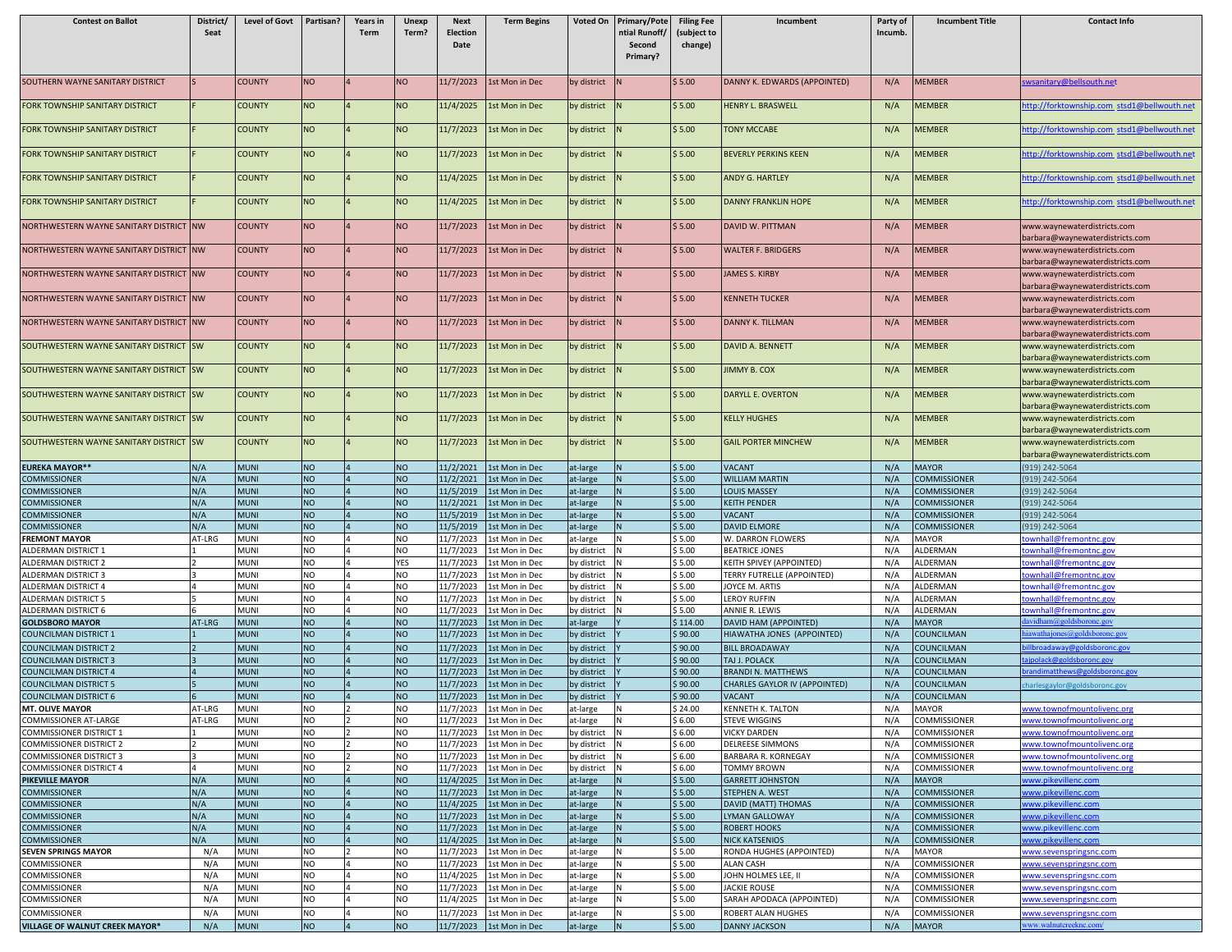| <b>Contest on Ballot</b>                                         | District/<br>Seat | Level of Govt   Partisan?  |                        | Years in<br><b>Term</b> | Unexp<br>Term?         | <b>Next</b><br>Election<br>Date | <b>Term Begins</b>                             | Voted On                   | <b>Primary/Pote</b><br>ntial Runoff/<br>Second<br>Primary? | <b>Filing Fee</b><br>(subject to<br>change) | Incumbent                                                  | Party of<br>Incumb. | <b>Incumbent Title</b>                     | <b>Contact Info</b>                                            |
|------------------------------------------------------------------|-------------------|----------------------------|------------------------|-------------------------|------------------------|---------------------------------|------------------------------------------------|----------------------------|------------------------------------------------------------|---------------------------------------------|------------------------------------------------------------|---------------------|--------------------------------------------|----------------------------------------------------------------|
| SOUTHERN WAYNE SANITARY DISTRICT                                 | Is.               | <b>COUNTY</b>              | <b>NO</b>              |                         | <b>NO</b>              | 11/7/2023                       | 1st Mon in Dec                                 | by district                |                                                            | \$5.00                                      | DANNY K. EDWARDS (APPOINTED)                               | N/A                 | <b>MEMBER</b>                              | wsanitary@bellsouth.net                                        |
| FORK TOWNSHIP SANITARY DISTRICT                                  |                   | <b>COUNTY</b>              | <b>NO</b>              |                         | <b>NO</b>              | 11/4/2025                       | 1st Mon in Dec                                 | by district                |                                                            | \$5.00                                      | HENRY L. BRASWELL                                          | N/A                 | MEMBER                                     | ttp://forktownship.com_stsd1@bellwouth.net                     |
| FORK TOWNSHIP SANITARY DISTRICT                                  |                   | <b>COUNTY</b>              | <b>NO</b>              |                         | <b>NO</b>              | 11/7/2023                       | <b>Lst Mon in Dec</b>                          | by district                |                                                            | \$5.00                                      | <b>TONY MCCABE</b>                                         | N/A                 | <b>MEMBER</b>                              | ttp://forktownship.com stsd1@bellwouth.net                     |
| <b>FORK TOWNSHIP SANITARY DISTRICT</b>                           |                   | <b>COUNTY</b>              | <b>NO</b>              |                         | <b>NO</b>              | 11/7/2023                       | 1st Mon in Dec                                 | by district                |                                                            | \$5.00                                      | <b>BEVERLY PERKINS KEEN</b>                                | N/A                 | <b>MEMBER</b>                              | http://forktownship.com_stsd1@bellwouth.net                    |
| FORK TOWNSHIP SANITARY DISTRICT                                  |                   | <b>COUNTY</b>              | <b>NO</b>              |                         | <b>NO</b>              | 11/4/2025                       | 1st Mon in Dec                                 | by district                |                                                            | \$5.00                                      | ANDY G. HARTLEY                                            | N/A                 | MEMBER                                     | ttp://forktownship.com_stsd1@bellwouth.net                     |
| FORK TOWNSHIP SANITARY DISTRICT                                  |                   | <b>COUNTY</b>              | <b>NO</b>              |                         | <b>NO</b>              | 11/4/2025                       | 1st Mon in Dec                                 | by district                |                                                            | \$5.00                                      | <b>DANNY FRANKLIN HOPE</b>                                 | N/A                 | MEMBER                                     | ttp://forktownship.com_stsd1@bellwouth.net                     |
| NORTHWESTERN WAYNE SANITARY DISTRICT NW                          |                   | <b>COUNTY</b>              | <b>NO</b>              |                         | <b>NO</b>              | 11/7/2023                       | 1st Mon in Dec                                 | by district                |                                                            | \$5.00                                      | DAVID W. PITTMAN                                           | N/A                 | <b>MEMBER</b>                              | www.waynewaterdistricts.com<br>barbara@waynewaterdistricts.com |
| NORTHWESTERN WAYNE SANITARY DISTRICT                             | <b>NW</b>         | <b>COUNTY</b>              | <b>NO</b>              |                         | <b>NO</b>              | 11/7/2023                       | 1st Mon in Dec                                 | by district                | N.                                                         | \$5.00                                      | <b>WALTER F. BRIDGERS</b>                                  | N/A                 | <b>MEMBER</b>                              | www.waynewaterdistricts.com<br>barbara@waynewaterdistricts.com |
| NORTHWESTERN WAYNE SANITARY DISTRICT NW                          |                   | <b>COUNTY</b>              | <b>NO</b>              |                         | <b>NO</b>              | 11/7/2023                       | 1st Mon in Dec                                 | by district                |                                                            | \$5.00                                      | <b>JAMES S. KIRBY</b>                                      | N/A                 | MEMBER                                     | www.waynewaterdistricts.com<br>barbara@waynewaterdistricts.com |
| NORTHWESTERN WAYNE SANITARY DISTRICT NW                          |                   | <b>COUNTY</b>              | <b>NO</b>              |                         | <b>NO</b>              | 11/7/2023                       | 1st Mon in Dec                                 | by district                |                                                            | \$5.00                                      | <b>KENNETH TUCKER</b>                                      | N/A                 | <b>MEMBER</b>                              | www.waynewaterdistricts.com<br>barbara@waynewaterdistricts.com |
| NORTHWESTERN WAYNE SANITARY DISTRICT                             | <b>NW</b>         | <b>COUNTY</b>              | <b>NO</b>              |                         | <b>NO</b>              | 11/7/2023                       | 1st Mon in Dec                                 | by district                |                                                            | \$5.00                                      | <b>DANNY K. TILLMAN</b>                                    | N/A                 | <b>MEMBER</b>                              | www.waynewaterdistricts.com<br>barbara@waynewaterdistricts.com |
| SOUTHWESTERN WAYNE SANITARY DISTRICT SW                          |                   | <b>COUNTY</b>              | <b>NO</b>              |                         | <b>NO</b>              | 11/7/2023                       | 1st Mon in Dec                                 | by district                |                                                            | \$5.00                                      | DAVID A. BENNETT                                           | N/A                 | <b>MEMBER</b>                              | www.waynewaterdistricts.com<br>barbara@waynewaterdistricts.com |
| SOUTHWESTERN WAYNE SANITARY DISTRICT SW                          |                   | <b>COUNTY</b>              | <b>NO</b>              |                         | <b>NO</b>              | 11/7/2023                       | 1st Mon in Dec                                 | by district                |                                                            | \$5.00                                      | <b>JIMMY B. COX</b>                                        | N/A                 | <b>MEMBER</b>                              | www.waynewaterdistricts.com<br>barbara@waynewaterdistricts.com |
| SOUTHWESTERN WAYNE SANITARY DISTRICT SW                          |                   | <b>COUNTY</b>              | <b>NO</b>              |                         | <b>NO</b>              | 11/7/2023                       | 1st Mon in Dec                                 | by district                |                                                            | \$5.00                                      | DARYLL E. OVERTON                                          | N/A                 | <b>MEMBER</b>                              | www.waynewaterdistricts.com<br>barbara@waynewaterdistricts.com |
| SOUTHWESTERN WAYNE SANITARY DISTRICT SW                          |                   | <b>COUNTY</b>              | <b>NO</b>              |                         | <b>NO</b>              | 11/7/2023                       | 1st Mon in Dec                                 | by district                |                                                            | \$5.00                                      | <b>KELLY HUGHES</b>                                        | N/A                 | <b>MEMBER</b>                              | www.waynewaterdistricts.com<br>barbara@waynewaterdistricts.com |
| SOUTHWESTERN WAYNE SANITARY DISTRICT SW                          |                   | <b>COUNTY</b>              | <b>NO</b>              |                         | <b>NO</b>              | 11/7/2023                       | 1st Mon in Dec                                 | by district                |                                                            | \$5.00                                      | <b>GAIL PORTER MINCHEW</b>                                 | N/A                 | <b>MEMBER</b>                              | www.waynewaterdistricts.com<br>barbara@waynewaterdistricts.com |
| <b>EUREKA MAYOR**</b>                                            | N/A               | <b>MUNI</b>                | <b>NO</b>              |                         | <b>NO</b>              | 11/2/2021                       | 1st Mon in Dec                                 | at-large                   |                                                            | \$5.00                                      | <b>VACANT</b>                                              | N/A                 | MAYOR                                      | 919) 242-5064                                                  |
| <b>COMMISSIONER</b>                                              | N/A               | <b>MUNI</b>                | <b>NO</b>              |                         | NO                     | 11/2/2021                       | 1st Mon in Dec                                 | at-large                   |                                                            | \$5.00                                      | <b>WILLIAM MARTIN</b>                                      | N/A                 | <b>COMMISSIONER</b>                        | 919) 242-5064                                                  |
| <b>COMMISSIONER</b><br><b>COMMISSIONER</b>                       | N/A<br>N/A        | <b>MUNI</b><br><b>MUNI</b> | <b>NO</b><br><b>NO</b> |                         | <b>NO</b><br><b>NO</b> | 11/5/2019<br>11/2/2021          | <b>Lst Mon in Dec</b><br><b>Lst Mon in Dec</b> | at-large<br>at-large       |                                                            | \$5.00<br>\$5.00                            | <b>LOUIS MASSEY</b><br><b>KEITH PENDER</b>                 | N/A<br>N/A          | COMMISSIONER<br>COMMISSIONER               | 919) 242-5064<br>919) 242-5064                                 |
| <b>COMMISSIONER</b>                                              | N/A               | <b>MUNI</b>                | <b>NO</b>              |                         | <b>NO</b>              | 11/5/2019                       | <b>Lst Mon in Dec</b>                          | at-large                   |                                                            | \$5.00                                      | <b>VACANT</b>                                              | N/A                 | COMMISSIONER                               | 919) 242-5064                                                  |
| <b>COMMISSIONER</b>                                              | N/A               | <b>MUNI</b>                | <b>NO</b>              |                         | NO                     | 11/5/2019                       | 1st Mon in Dec                                 | at-large                   |                                                            | \$5.00                                      | <b>DAVID ELMORE</b>                                        | N/A                 | COMMISSIONER                               | 919) 242-5064                                                  |
| <b>FREMONT MAYOR</b>                                             | AT-LRG            | <b>MUNI</b>                | <b>NO</b>              |                         | NO                     | 11/7/2023                       | <b>Lst Mon in Dec</b>                          | at-large                   |                                                            | \$5.00                                      | W. DARRON FLOWERS                                          | N/A                 | MAYOR                                      | cownhall@fremontnc.gov                                         |
| ALDERMAN DISTRICT 1                                              |                   | MUNI                       | <b>NO</b>              |                         | NO                     | 11/7/2023                       | 1st Mon in Dec                                 | by district                |                                                            | \$ 5.00                                     | <b>BEATRICE JONES</b>                                      | N/A                 | ALDERMAN                                   | townhall@fremontnc.gov                                         |
| ALDERMAN DISTRICT 2                                              |                   | <b>MUNI</b>                | <b>NO</b>              |                         | YES                    | 11/7/2023                       | 1st Mon in Dec                                 | by district                |                                                            | \$5.00                                      | KEITH SPIVEY (APPOINTED)                                   | N/A                 | ALDERMAN                                   | ownhall@fremontnc.gov                                          |
| ALDERMAN DISTRICT 3<br>ALDERMAN DISTRICT 4                       |                   | <b>MUNI</b><br><b>MUNI</b> | <b>NO</b><br><b>NO</b> |                         | NO<br>NO               | 11/7/2023<br>11/7/2023          | 1st Mon in Dec<br><b>Lst Mon in Dec</b>        | by district<br>by district |                                                            | \$5.00<br>\$ 5.00                           | TERRY FUTRELLE (APPOINTED)<br>JOYCE M. ARTIS               | N/A<br>N/A          | ALDERMAN<br>ALDERMAN                       | townhall@fremontnc.gov<br>ownhall@fremontnc.gov                |
| ALDERMAN DISTRICT 5                                              |                   | MUNI                       | <b>NO</b>              |                         | NO                     | 11/7/2023                       | Lst Mon in Dec                                 | by district                |                                                            | \$5.00                                      | <b>LEROY RUFFIN</b>                                        | N/A                 | ALDERMAN                                   | ownhall@fremontnc.gov                                          |
| ALDERMAN DISTRICT 6                                              |                   | <b>MUNI</b>                | <b>NO</b>              |                         | NO                     | 11/7/2023                       | 1st Mon in Dec                                 | by district                |                                                            | \$5.00                                      | <b>ANNIE R. LEWIS</b>                                      | N/A                 | ALDERMAN                                   | townhall@fremontnc.gov                                         |
| <b>GOLDSBORO MAYOR</b>                                           | AT-LRG            | <b>MUNI</b>                | <b>NO</b>              |                         | <b>NO</b>              | 11/7/2023                       | <b>Lst Mon in Dec</b>                          | at-large                   |                                                            | \$114.00                                    | DAVID HAM (APPOINTED)                                      | N/A                 | MAYOR                                      |                                                                |
| <b>COUNCILMAN DISTRICT 1</b>                                     |                   | <b>MUNI</b>                | <b>NO</b>              |                         | <b>NO</b>              | 11/7/2023                       | 1st Mon in Dec                                 | by district                |                                                            | \$90.00                                     | HIAWATHA JONES (APPOINTED)                                 | N/A                 | COUNCILMAN                                 | awathajones@goldsborone.go                                     |
| <b>COUNCILMAN DISTRICT 2</b>                                     |                   | <b>MUNI</b>                | <b>NO</b>              |                         | <b>NO</b>              | 11/7/2023                       | <b>Lst Mon in Dec</b>                          | by district                |                                                            | \$90.00                                     | <b>BILL BROADAWAY</b>                                      | N/A                 | COUNCILMAN                                 | lbroadaway@goldsboronc.gov                                     |
| COUNCILMAN DISTRICT 3                                            |                   | <b>MUNI</b>                | <b>NO</b>              |                         | <b>NO</b>              | 11/7/2023                       | <b>Lst Mon in Dec</b>                          | by district                |                                                            | \$90.00                                     | TAJ J. POLACK                                              | N/A                 | COUNCILMAN                                 | jpolack@goldsboronc.gov                                        |
| <b>COUNCILMAN DISTRICT 4</b><br><b>COUNCILMAN DISTRICT 5</b>     |                   | <b>MUNI</b><br><b>MUNI</b> | <b>NO</b><br><b>NO</b> |                         | <b>NO</b><br><b>NO</b> | 11/7/2023<br>11/7/2023          | 1st Mon in Dec<br><b>Lst Mon in Dec</b>        | by district<br>by district |                                                            | \$90.00<br>\$90.00                          | <b>BRANDI N. MATTHEWS</b><br>CHARLES GAYLOR IV (APPOINTED) | N/A<br>N/A          | COUNCILMAN<br>COUNCILMAN                   | randimatthews@goldsboronc.gov<br>harlesgaylor@goldsboronc.gov  |
| <b>COUNCILMAN DISTRICT 6</b>                                     |                   | MUNI                       | <b>NO</b>              |                         | <b>NO</b>              | 11/7/2023                       | <b>Lst Mon in Dec</b>                          | by district                |                                                            | \$90.00                                     | VACANT                                                     | N/A                 | COUNCILMAN                                 |                                                                |
| <b>MT. OLIVE MAYOR</b>                                           | AT-LRG            | <b>MUNI</b>                | <b>NO</b>              |                         | NO                     | 11/7/2023                       | 1st Mon in Dec                                 | at-large                   |                                                            | \$24.00                                     | <b>KENNETH K. TALTON</b>                                   | N/A                 | MAYOR                                      | www.townofmountolivenc.org                                     |
| <b>COMMISSIONER AT-LARGE</b>                                     | AT-LRG            | <b>MUNI</b>                | <b>NO</b>              |                         | NO                     |                                 | 11/7/2023 1st Mon in Dec                       | at-large                   | IN.                                                        | \$ 6.00                                     | <b>STEVE WIGGINS</b>                                       | N/A                 | COMMISSIONER                               | www.townofmountolivenc.org                                     |
| <b>COMMISSIONER DISTRICT 1</b>                                   |                   | MUNI                       | <b>NO</b>              |                         | NO                     | 11/7/2023                       | 1st Mon in Dec                                 | by district                |                                                            | \$ 6.00                                     | <b>VICKY DARDEN</b>                                        | N/A                 | COMMISSIONER                               | www.townofmountolivenc.org                                     |
| <b>COMMISSIONER DISTRICT 2</b>                                   |                   | MUNI<br><b>MUNI</b>        | <b>NO</b><br><b>NO</b> |                         | NO<br>NO               | 11/7/2023                       | 1st Mon in Dec                                 | by district                |                                                            | \$6.00                                      | <b>DELREESE SIMMONS</b><br><b>BARBARA R. KORNEGAY</b>      | N/A                 | COMMISSIONER                               | www.townofmountolivenc.org<br>www.townofmountolivenc.org       |
| <b>COMMISSIONER DISTRICT 3</b><br><b>COMMISSIONER DISTRICT 4</b> |                   | MUNI                       | <b>NO</b>              |                         | NO                     | 11/7/2023<br>11/7/2023          | 1st Mon in Dec<br>1st Mon in Dec               | by district<br>by district |                                                            | \$6.00<br>\$ 6.00                           | <b>TOMMY BROWN</b>                                         | N/A<br>N/A          | COMMISSIONER<br>COMMISSIONER               | www.townofmountolivenc.org                                     |
| <b>PIKEVILLE MAYOR</b>                                           | N/A               | <b>MUNI</b>                | <b>NO</b>              |                         | NO                     | 11/4/2025                       | 1st Mon in Dec                                 | at-large                   |                                                            | \$5.00                                      | <b>GARRETT JOHNSTON</b>                                    | N/A                 | MAYOR                                      | ww.pikevillenc.com                                             |
| <b>COMMISSIONER</b>                                              | N/A               | <b>MUNI</b>                | <b>NO</b>              |                         | <b>NO</b>              | 11/7/2023                       | 1st Mon in Dec                                 | at-large                   |                                                            | \$5.00                                      | STEPHEN A. WEST                                            | N/A                 | <b>COMMISSIONER</b>                        | vww.pikevillenc.com                                            |
| <b>COMMISSIONER</b>                                              | N/A               | <b>MUNI</b>                | <b>NO</b>              |                         | <b>NO</b>              | 11/4/2025                       | 1st Mon in Dec                                 | at-large                   |                                                            | \$5.00                                      | <b>DAVID (MATT) THOMAS</b>                                 | N/A                 | <b>COMMISSIONER</b>                        | ww.pikevillenc.com                                             |
| <b>COMMISSIONER</b>                                              | N/A               | <b>MUNI</b>                | <b>NO</b>              |                         | <b>NO</b>              | 11/7/2023                       | 1st Mon in Dec                                 | at-large                   |                                                            | \$5.00                                      | <b>LYMAN GALLOWAY</b>                                      | N/A                 | <b>COMMISSIONER</b>                        | www.pikevillenc.com                                            |
| <b>COMMISSIONER</b>                                              | N/A<br>N/A        | <b>MUNI</b><br><b>MUNI</b> | NO.<br><b>NO</b>       |                         | NO<br><b>NO</b>        | 11/7/2023<br>11/4/2025          | 1st Mon in Dec                                 | at-large                   |                                                            | \$5.00<br>\$5.00                            | <b>ROBERT HOOKS</b><br><b>NICK KATSENIOS</b>               | N/A<br>N/A          | <b>COMMISSIONER</b><br><b>COMMISSIONER</b> | vww.pikevillenc.com                                            |
| <b>COMMISSIONER</b><br><b>SEVEN SPRINGS MAYOR</b>                | N/A               | MUNI                       | <b>NO</b>              |                         | NO                     | 11/7/2023                       | 1st Mon in Dec<br>1st Mon in Dec               | at-large<br>at-large       |                                                            | \$5.00                                      | RONDA HUGHES (APPOINTED)                                   | N/A                 | MAYOR                                      | www.pikevillenc.com<br>www.sevenspringsnc.com                  |
| COMMISSIONER                                                     | N/A               | MUNI                       | <b>NO</b>              |                         | NO                     | 11/7/2023                       | 1st Mon in Dec                                 | at-large                   |                                                            | \$5.00                                      | <b>ALAN CASH</b>                                           | N/A                 | COMMISSIONER                               | www.sevenspringsnc.com                                         |
| <b>COMMISSIONER</b>                                              | N/A               | <b>MUNI</b>                | <b>NO</b>              |                         | NO                     | 11/4/2025                       | 1st Mon in Dec                                 | at-large                   |                                                            | \$ 5.00                                     | JOHN HOLMES LEE, II                                        | N/A                 | COMMISSIONER                               | www.sevenspringsnc.com                                         |
| <b>COMMISSIONER</b>                                              | N/A               | <b>MUNI</b>                | <b>NO</b>              |                         | NO                     | 11/7/2023                       | 1st Mon in Dec                                 | at-large                   |                                                            | \$5.00                                      | <b>JACKIE ROUSE</b>                                        | N/A                 | COMMISSIONER                               | www.sevenspringsnc.com                                         |
| <b>COMMISSIONER</b>                                              | N/A               | <b>MUNI</b>                | <b>NO</b>              |                         | NO                     | 11/4/2025                       | 1st Mon in Dec                                 | at-large                   |                                                            | \$ 5.00                                     | SARAH APODACA (APPOINTED)                                  | N/A                 | COMMISSIONER                               | www.sevenspringsnc.com                                         |
| <b>COMMISSIONER</b>                                              | N/A               | <b>MUNI</b>                | <b>NO</b>              |                         | NO                     | 11/7/2023                       | 1st Mon in Dec                                 | at-large                   |                                                            | \$5.00                                      | ROBERT ALAN HUGHES                                         | N/A                 | COMMISSIONER                               | www.sevenspringsnc.com                                         |
| <b>VILLAGE OF WALNUT CREEK MAYOR*</b>                            | N/A               | <b>MUNI</b>                | <b>NO</b>              |                         | <b>NO</b>              |                                 | 11/7/2023 1st Mon in Dec                       | at-large                   |                                                            | \$5.00                                      | <b>DANNY JACKSON</b>                                       | N/A                 | MAYOR                                      | ww.walnutcreeknc.com/                                          |